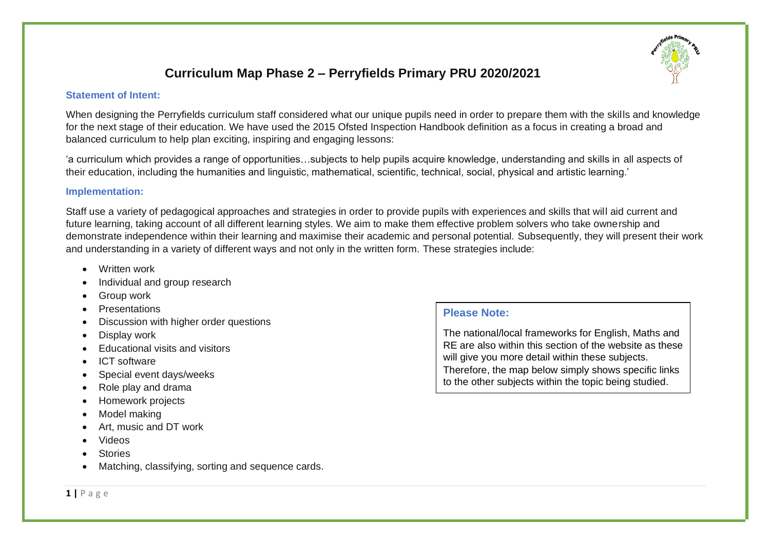# **Curriculum Map Phase 2 – Perryfields Primary PRU 2020/2021**

#### **Statement of Intent:**

When designing the Perryfields curriculum staff considered what our unique pupils need in order to prepare them with the skills and knowledge for the next stage of their education. We have used the 2015 Ofsted Inspection Handbook definition as a focus in creating a broad and balanced curriculum to help plan exciting, inspiring and engaging lessons:

'a curriculum which provides a range of opportunities…subjects to help pupils acquire knowledge, understanding and skills in all aspects of their education, including the humanities and linguistic, mathematical, scientific, technical, social, physical and artistic learning.'

#### **Implementation:**

Staff use a variety of pedagogical approaches and strategies in order to provide pupils with experiences and skills that will aid current and future learning, taking account of all different learning styles. We aim to make them effective problem solvers who take ownership and demonstrate independence within their learning and maximise their academic and personal potential. Subsequently, they will present their work and understanding in a variety of different ways and not only in the written form. These strategies include:

- Written work
- Individual and group research
- Group work
- **Presentations**
- Discussion with higher order questions
- Display work
- Educational visits and visitors
- ICT software
- Special event days/weeks
- Role play and drama
- Homework projects
- Model making
- Art, music and DT work
- Videos
- **Stories**
- Matching, classifying, sorting and sequence cards.

### **Please Note:**

The national/local frameworks for English, Maths and RE are also within this section of the website as these will give you more detail within these subjects. Therefore, the map below simply shows specific links to the other subjects within the topic being studied.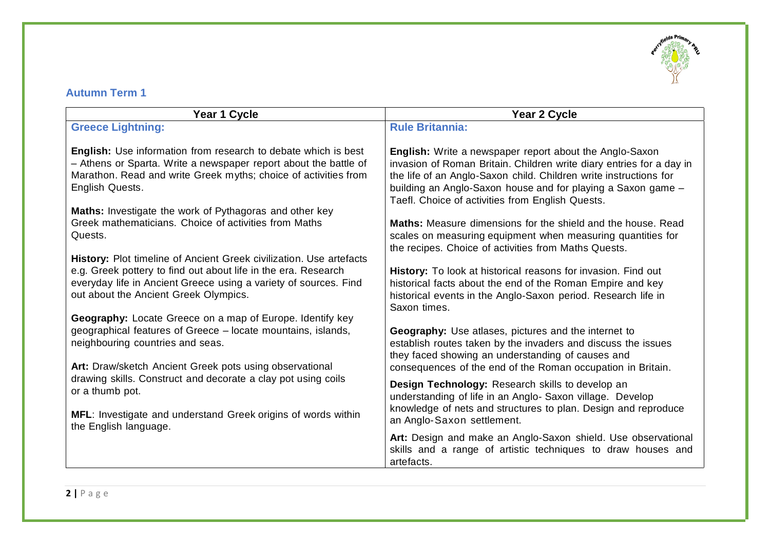

### **Autumn Term 1**

| Year 1 Cycle                                                                                                                                                                                                                    | Year 2 Cycle                                                                                                                                                                                                                                                                                                                    |
|---------------------------------------------------------------------------------------------------------------------------------------------------------------------------------------------------------------------------------|---------------------------------------------------------------------------------------------------------------------------------------------------------------------------------------------------------------------------------------------------------------------------------------------------------------------------------|
| <b>Greece Lightning:</b>                                                                                                                                                                                                        | <b>Rule Britannia:</b>                                                                                                                                                                                                                                                                                                          |
| <b>English:</b> Use information from research to debate which is best<br>- Athens or Sparta. Write a newspaper report about the battle of<br>Marathon. Read and write Greek myths; choice of activities from<br>English Quests. | <b>English:</b> Write a newspaper report about the Anglo-Saxon<br>invasion of Roman Britain. Children write diary entries for a day in<br>the life of an Anglo-Saxon child. Children write instructions for<br>building an Anglo-Saxon house and for playing a Saxon game -<br>Taefl. Choice of activities from English Quests. |
| Maths: Investigate the work of Pythagoras and other key                                                                                                                                                                         | <b>Maths:</b> Measure dimensions for the shield and the house. Read                                                                                                                                                                                                                                                             |
| Greek mathematicians. Choice of activities from Maths                                                                                                                                                                           | scales on measuring equipment when measuring quantities for                                                                                                                                                                                                                                                                     |
| Quests.                                                                                                                                                                                                                         | the recipes. Choice of activities from Maths Quests.                                                                                                                                                                                                                                                                            |
| <b>History:</b> Plot timeline of Ancient Greek civilization. Use artefacts                                                                                                                                                      | History: To look at historical reasons for invasion. Find out                                                                                                                                                                                                                                                                   |
| e.g. Greek pottery to find out about life in the era. Research                                                                                                                                                                  | historical facts about the end of the Roman Empire and key                                                                                                                                                                                                                                                                      |
| everyday life in Ancient Greece using a variety of sources. Find                                                                                                                                                                | historical events in the Anglo-Saxon period. Research life in                                                                                                                                                                                                                                                                   |
| out about the Ancient Greek Olympics.                                                                                                                                                                                           | Saxon times.                                                                                                                                                                                                                                                                                                                    |
| Geography: Locate Greece on a map of Europe. Identify key                                                                                                                                                                       | <b>Geography:</b> Use atlases, pictures and the internet to                                                                                                                                                                                                                                                                     |
| geographical features of Greece - locate mountains, islands,                                                                                                                                                                    | establish routes taken by the invaders and discuss the issues                                                                                                                                                                                                                                                                   |
| neighbouring countries and seas.                                                                                                                                                                                                | they faced showing an understanding of causes and                                                                                                                                                                                                                                                                               |
| Art: Draw/sketch Ancient Greek pots using observational                                                                                                                                                                         | consequences of the end of the Roman occupation in Britain.                                                                                                                                                                                                                                                                     |
| drawing skills. Construct and decorate a clay pot using coils                                                                                                                                                                   | Design Technology: Research skills to develop an                                                                                                                                                                                                                                                                                |
| or a thumb pot.                                                                                                                                                                                                                 | understanding of life in an Anglo- Saxon village. Develop                                                                                                                                                                                                                                                                       |
| MFL: Investigate and understand Greek origins of words within                                                                                                                                                                   | knowledge of nets and structures to plan. Design and reproduce                                                                                                                                                                                                                                                                  |
| the English language.                                                                                                                                                                                                           | an Anglo-Saxon settlement.                                                                                                                                                                                                                                                                                                      |
|                                                                                                                                                                                                                                 | Art: Design and make an Anglo-Saxon shield. Use observational<br>skills and a range of artistic techniques to draw houses and<br>artefacts.                                                                                                                                                                                     |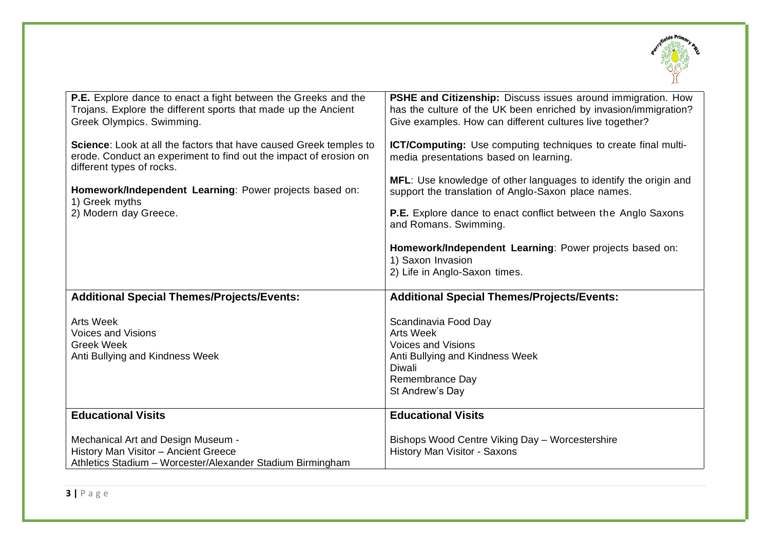

| <b>P.E.</b> Explore dance to enact a fight between the Greeks and the<br>Trojans. Explore the different sports that made up the Ancient<br>Greek Olympics. Swimming. | PSHE and Citizenship: Discuss issues around immigration. How<br>has the culture of the UK been enriched by invasion/immigration?<br>Give examples. How can different cultures live together? |
|----------------------------------------------------------------------------------------------------------------------------------------------------------------------|----------------------------------------------------------------------------------------------------------------------------------------------------------------------------------------------|
| Science: Look at all the factors that have caused Greek temples to<br>erode. Conduct an experiment to find out the impact of erosion on<br>different types of rocks. | ICT/Computing: Use computing techniques to create final multi-<br>media presentations based on learning.                                                                                     |
| Homework/Independent Learning: Power projects based on:<br>1) Greek myths                                                                                            | MFL: Use knowledge of other languages to identify the origin and<br>support the translation of Anglo-Saxon place names.                                                                      |
| 2) Modern day Greece.                                                                                                                                                | <b>P.E.</b> Explore dance to enact conflict between the Anglo Saxons<br>and Romans. Swimming.                                                                                                |
|                                                                                                                                                                      | Homework/Independent Learning: Power projects based on:<br>1) Saxon Invasion<br>2) Life in Anglo-Saxon times.                                                                                |
| <b>Additional Special Themes/Projects/Events:</b>                                                                                                                    | <b>Additional Special Themes/Projects/Events:</b>                                                                                                                                            |
| <b>Arts Week</b><br><b>Voices and Visions</b><br><b>Greek Week</b><br>Anti Bullying and Kindness Week                                                                | Scandinavia Food Day<br><b>Arts Week</b><br><b>Voices and Visions</b><br>Anti Bullying and Kindness Week<br><b>Diwali</b><br>Remembrance Day<br>St Andrew's Day                              |
| <b>Educational Visits</b>                                                                                                                                            | <b>Educational Visits</b>                                                                                                                                                                    |
| Mechanical Art and Design Museum -<br>History Man Visitor - Ancient Greece<br>Athletics Stadium - Worcester/Alexander Stadium Birmingham                             | Bishops Wood Centre Viking Day - Worcestershire<br>History Man Visitor - Saxons                                                                                                              |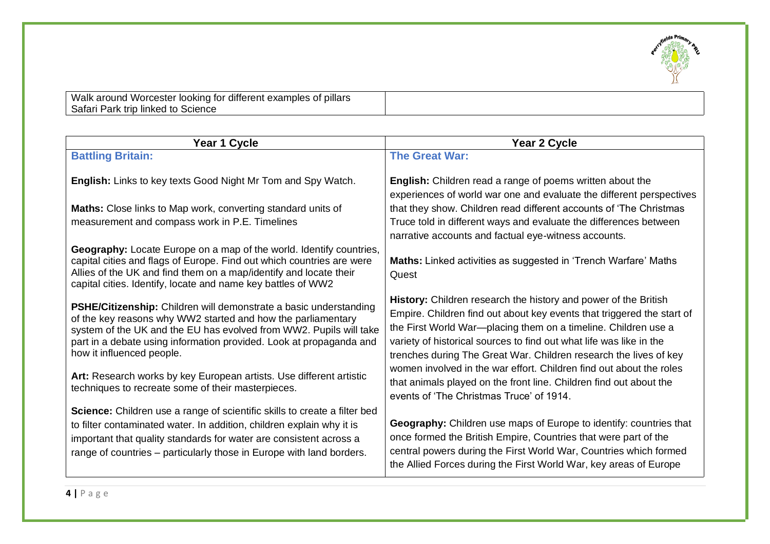

Walk around Worcester looking for different examples of pillars Safari Park trip linked to Science

| Year 1 Cycle                                                                                                                                                                                                                                                                                                                                                                                                                             | <b>Year 2 Cycle</b>                                                                                                                                                                                                                                                                                                                                                                                                                                                                                                                              |
|------------------------------------------------------------------------------------------------------------------------------------------------------------------------------------------------------------------------------------------------------------------------------------------------------------------------------------------------------------------------------------------------------------------------------------------|--------------------------------------------------------------------------------------------------------------------------------------------------------------------------------------------------------------------------------------------------------------------------------------------------------------------------------------------------------------------------------------------------------------------------------------------------------------------------------------------------------------------------------------------------|
| <b>Battling Britain:</b>                                                                                                                                                                                                                                                                                                                                                                                                                 | <b>The Great War:</b>                                                                                                                                                                                                                                                                                                                                                                                                                                                                                                                            |
| English: Links to key texts Good Night Mr Tom and Spy Watch.                                                                                                                                                                                                                                                                                                                                                                             | English: Children read a range of poems written about the<br>experiences of world war one and evaluate the different perspectives                                                                                                                                                                                                                                                                                                                                                                                                                |
| Maths: Close links to Map work, converting standard units of                                                                                                                                                                                                                                                                                                                                                                             | that they show. Children read different accounts of 'The Christmas                                                                                                                                                                                                                                                                                                                                                                                                                                                                               |
| measurement and compass work in P.E. Timelines                                                                                                                                                                                                                                                                                                                                                                                           | Truce told in different ways and evaluate the differences between<br>narrative accounts and factual eye-witness accounts.                                                                                                                                                                                                                                                                                                                                                                                                                        |
| Geography: Locate Europe on a map of the world. Identify countries,<br>capital cities and flags of Europe. Find out which countries are were<br>Allies of the UK and find them on a map/identify and locate their<br>capital cities. Identify, locate and name key battles of WW2                                                                                                                                                        | Maths: Linked activities as suggested in 'Trench Warfare' Maths<br>Quest                                                                                                                                                                                                                                                                                                                                                                                                                                                                         |
| PSHE/Citizenship: Children will demonstrate a basic understanding<br>of the key reasons why WW2 started and how the parliamentary<br>system of the UK and the EU has evolved from WW2. Pupils will take<br>part in a debate using information provided. Look at propaganda and<br>how it influenced people.<br>Art: Research works by key European artists. Use different artistic<br>techniques to recreate some of their masterpieces. | History: Children research the history and power of the British<br>Empire. Children find out about key events that triggered the start of<br>the First World War-placing them on a timeline. Children use a<br>variety of historical sources to find out what life was like in the<br>trenches during The Great War. Children research the lives of key<br>women involved in the war effort. Children find out about the roles<br>that animals played on the front line. Children find out about the<br>events of 'The Christmas Truce' of 1914. |
| Science: Children use a range of scientific skills to create a filter bed<br>to filter contaminated water. In addition, children explain why it is<br>important that quality standards for water are consistent across a<br>range of countries – particularly those in Europe with land borders.                                                                                                                                         | Geography: Children use maps of Europe to identify: countries that<br>once formed the British Empire, Countries that were part of the<br>central powers during the First World War, Countries which formed<br>the Allied Forces during the First World War, key areas of Europe                                                                                                                                                                                                                                                                  |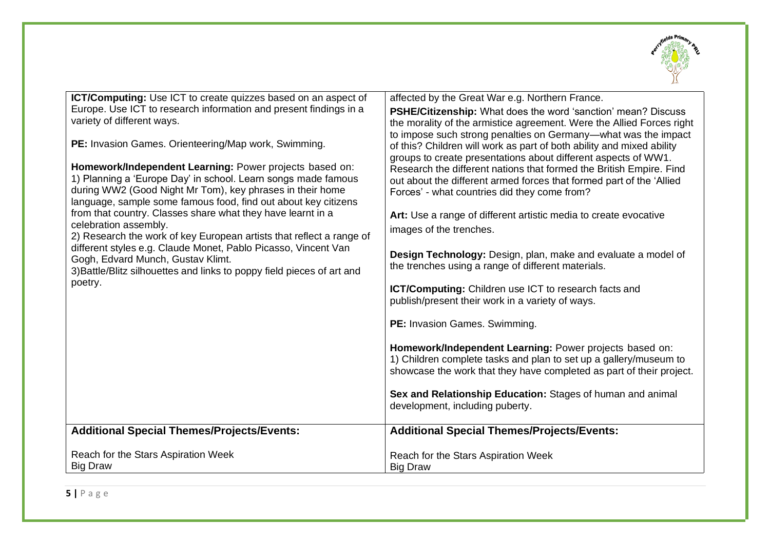

| <b>ICT/Computing:</b> Use ICT to create quizzes based on an aspect of<br>Europe. Use ICT to research information and present findings in a<br>variety of different ways.<br>PE: Invasion Games. Orienteering/Map work, Swimming.<br>Homework/Independent Learning: Power projects based on:<br>1) Planning a 'Europe Day' in school. Learn songs made famous<br>during WW2 (Good Night Mr Tom), key phrases in their home<br>language, sample some famous food, find out about key citizens<br>from that country. Classes share what they have learnt in a<br>celebration assembly.<br>2) Research the work of key European artists that reflect a range of<br>different styles e.g. Claude Monet, Pablo Picasso, Vincent Van<br>Gogh, Edvard Munch, Gustav Klimt.<br>3) Battle/Blitz silhouettes and links to poppy field pieces of art and<br>poetry. | affected by the Great War e.g. Northern France.<br>PSHE/Citizenship: What does the word 'sanction' mean? Discuss<br>the morality of the armistice agreement. Were the Allied Forces right<br>to impose such strong penalties on Germany—what was the impact<br>of this? Children will work as part of both ability and mixed ability<br>groups to create presentations about different aspects of WW1.<br>Research the different nations that formed the British Empire. Find<br>out about the different armed forces that formed part of the 'Allied<br>Forces' - what countries did they come from?<br>Art: Use a range of different artistic media to create evocative<br>images of the trenches.<br>Design Technology: Design, plan, make and evaluate a model of<br>the trenches using a range of different materials.<br><b>ICT/Computing:</b> Children use ICT to research facts and<br>publish/present their work in a variety of ways.<br>PE: Invasion Games. Swimming.<br>Homework/Independent Learning: Power projects based on:<br>1) Children complete tasks and plan to set up a gallery/museum to |
|---------------------------------------------------------------------------------------------------------------------------------------------------------------------------------------------------------------------------------------------------------------------------------------------------------------------------------------------------------------------------------------------------------------------------------------------------------------------------------------------------------------------------------------------------------------------------------------------------------------------------------------------------------------------------------------------------------------------------------------------------------------------------------------------------------------------------------------------------------|------------------------------------------------------------------------------------------------------------------------------------------------------------------------------------------------------------------------------------------------------------------------------------------------------------------------------------------------------------------------------------------------------------------------------------------------------------------------------------------------------------------------------------------------------------------------------------------------------------------------------------------------------------------------------------------------------------------------------------------------------------------------------------------------------------------------------------------------------------------------------------------------------------------------------------------------------------------------------------------------------------------------------------------------------------------------------------------------------------------|
|                                                                                                                                                                                                                                                                                                                                                                                                                                                                                                                                                                                                                                                                                                                                                                                                                                                         | showcase the work that they have completed as part of their project.<br>Sex and Relationship Education: Stages of human and animal                                                                                                                                                                                                                                                                                                                                                                                                                                                                                                                                                                                                                                                                                                                                                                                                                                                                                                                                                                               |
|                                                                                                                                                                                                                                                                                                                                                                                                                                                                                                                                                                                                                                                                                                                                                                                                                                                         | development, including puberty.                                                                                                                                                                                                                                                                                                                                                                                                                                                                                                                                                                                                                                                                                                                                                                                                                                                                                                                                                                                                                                                                                  |
| <b>Additional Special Themes/Projects/Events:</b>                                                                                                                                                                                                                                                                                                                                                                                                                                                                                                                                                                                                                                                                                                                                                                                                       | <b>Additional Special Themes/Projects/Events:</b>                                                                                                                                                                                                                                                                                                                                                                                                                                                                                                                                                                                                                                                                                                                                                                                                                                                                                                                                                                                                                                                                |
| Reach for the Stars Aspiration Week<br><b>Big Draw</b>                                                                                                                                                                                                                                                                                                                                                                                                                                                                                                                                                                                                                                                                                                                                                                                                  | Reach for the Stars Aspiration Week<br><b>Big Draw</b>                                                                                                                                                                                                                                                                                                                                                                                                                                                                                                                                                                                                                                                                                                                                                                                                                                                                                                                                                                                                                                                           |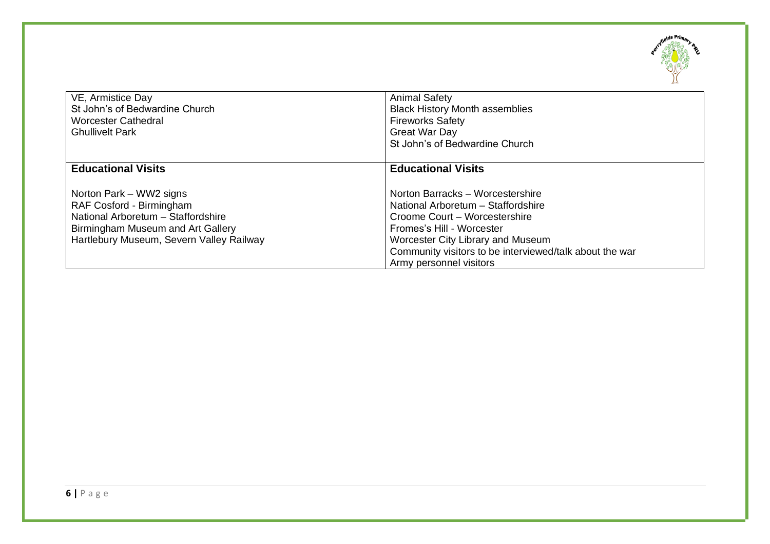

| VE, Armistice Day<br>St John's of Bedwardine Church<br><b>Worcester Cathedral</b><br><b>Ghullivelt Park</b> | <b>Animal Safety</b><br><b>Black History Month assemblies</b><br><b>Fireworks Safety</b><br><b>Great War Day</b><br>St John's of Bedwardine Church |
|-------------------------------------------------------------------------------------------------------------|----------------------------------------------------------------------------------------------------------------------------------------------------|
|                                                                                                             |                                                                                                                                                    |
| <b>Educational Visits</b>                                                                                   | <b>Educational Visits</b>                                                                                                                          |
| Norton Park - WW2 signs                                                                                     | Norton Barracks - Worcestershire                                                                                                                   |
| RAF Cosford - Birmingham                                                                                    | National Arboretum - Staffordshire                                                                                                                 |
| National Arboretum - Staffordshire                                                                          | Croome Court – Worcestershire                                                                                                                      |
| Birmingham Museum and Art Gallery                                                                           | Fromes's Hill - Worcester                                                                                                                          |
| Hartlebury Museum, Severn Valley Railway                                                                    | <b>Worcester City Library and Museum</b>                                                                                                           |
|                                                                                                             | Community visitors to be interviewed/talk about the war                                                                                            |
|                                                                                                             | Army personnel visitors                                                                                                                            |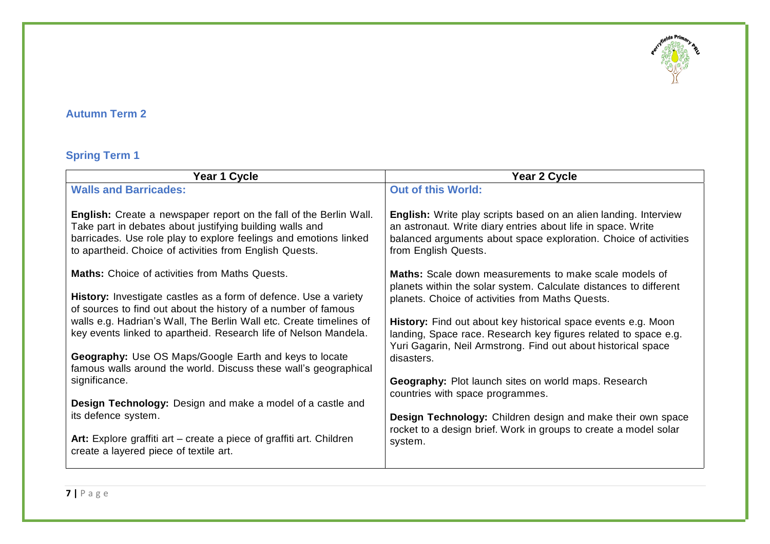

### **Autumn Term 2**

# **Spring Term 1**

| Year 1 Cycle                                                                                                                                                                                                                                                   | Year 2 Cycle                                                                                                                                                                                                                 |
|----------------------------------------------------------------------------------------------------------------------------------------------------------------------------------------------------------------------------------------------------------------|------------------------------------------------------------------------------------------------------------------------------------------------------------------------------------------------------------------------------|
| <b>Walls and Barricades:</b>                                                                                                                                                                                                                                   | <b>Out of this World:</b>                                                                                                                                                                                                    |
| English: Create a newspaper report on the fall of the Berlin Wall.<br>Take part in debates about justifying building walls and<br>barricades. Use role play to explore feelings and emotions linked<br>to apartheid. Choice of activities from English Quests. | English: Write play scripts based on an alien landing. Interview<br>an astronaut. Write diary entries about life in space. Write<br>balanced arguments about space exploration. Choice of activities<br>from English Quests. |
| <b>Maths:</b> Choice of activities from Maths Quests.<br>History: Investigate castles as a form of defence. Use a variety                                                                                                                                      | <b>Maths:</b> Scale down measurements to make scale models of<br>planets within the solar system. Calculate distances to different<br>planets. Choice of activities from Maths Quests.                                       |
| of sources to find out about the history of a number of famous<br>walls e.g. Hadrian's Wall, The Berlin Wall etc. Create timelines of                                                                                                                          | History: Find out about key historical space events e.g. Moon                                                                                                                                                                |
| key events linked to apartheid. Research life of Nelson Mandela.                                                                                                                                                                                               | landing, Space race. Research key figures related to space e.g.<br>Yuri Gagarin, Neil Armstrong. Find out about historical space                                                                                             |
| <b>Geography:</b> Use OS Maps/Google Earth and keys to locate<br>famous walls around the world. Discuss these wall's geographical                                                                                                                              | disasters.                                                                                                                                                                                                                   |
| significance.                                                                                                                                                                                                                                                  | Geography: Plot launch sites on world maps. Research<br>countries with space programmes.                                                                                                                                     |
| <b>Design Technology:</b> Design and make a model of a castle and<br>its defence system.                                                                                                                                                                       | Design Technology: Children design and make their own space                                                                                                                                                                  |
| Art: Explore graffiti art – create a piece of graffiti art. Children<br>create a layered piece of textile art.                                                                                                                                                 | rocket to a design brief. Work in groups to create a model solar<br>system.                                                                                                                                                  |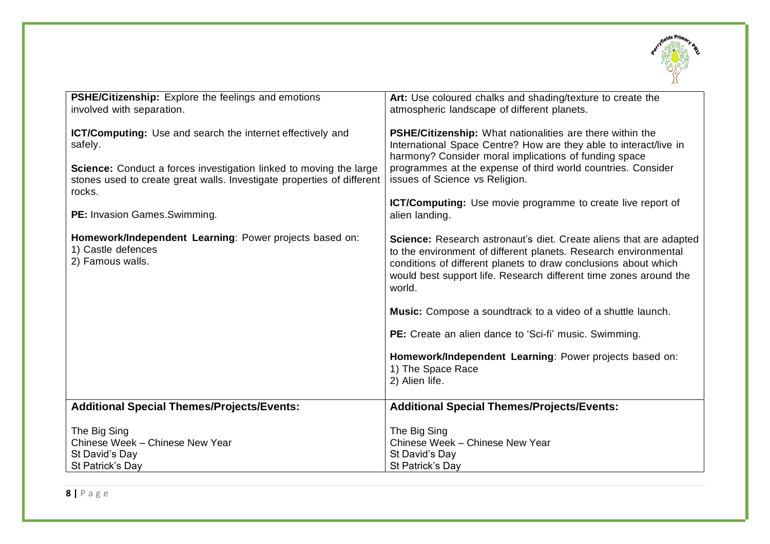

| <b>PSHE/Citizenship:</b> Explore the feelings and emotions<br>involved with separation.                                                                                                                                                | Art: Use coloured chalks and shading/texture to create the<br>atmospheric landscape of different planets.                                                                                                                                                                                                                                                              |
|----------------------------------------------------------------------------------------------------------------------------------------------------------------------------------------------------------------------------------------|------------------------------------------------------------------------------------------------------------------------------------------------------------------------------------------------------------------------------------------------------------------------------------------------------------------------------------------------------------------------|
| <b>ICT/Computing:</b> Use and search the internet effectively and<br>safely.<br>Science: Conduct a forces investigation linked to moving the large<br>stones used to create great walls. Investigate properties of different<br>rocks. | <b>PSHE/Citizenship:</b> What nationalities are there within the<br>International Space Centre? How are they able to interact/live in<br>harmony? Consider moral implications of funding space<br>programmes at the expense of third world countries. Consider<br>issues of Science vs Religion.<br><b>ICT/Computing:</b> Use movie programme to create live report of |
| <b>PE:</b> Invasion Games. Swimming.                                                                                                                                                                                                   | alien landing.                                                                                                                                                                                                                                                                                                                                                         |
| Homework/Independent Learning: Power projects based on:<br>1) Castle defences<br>2) Famous walls.                                                                                                                                      | <b>Science:</b> Research astronaut's diet. Create aliens that are adapted<br>to the environment of different planets. Research environmental<br>conditions of different planets to draw conclusions about which<br>would best support life. Research different time zones around the<br>world.<br><b>Music:</b> Compose a soundtrack to a video of a shuttle launch.   |
|                                                                                                                                                                                                                                        | PE: Create an alien dance to 'Sci-fi' music. Swimming.                                                                                                                                                                                                                                                                                                                 |
|                                                                                                                                                                                                                                        | Homework/Independent Learning: Power projects based on:<br>1) The Space Race<br>2) Alien life.                                                                                                                                                                                                                                                                         |
| <b>Additional Special Themes/Projects/Events:</b>                                                                                                                                                                                      | <b>Additional Special Themes/Projects/Events:</b>                                                                                                                                                                                                                                                                                                                      |
| The Big Sing<br>Chinese Week - Chinese New Year<br>St David's Day<br>St Patrick's Day                                                                                                                                                  | The Big Sing<br>Chinese Week - Chinese New Year<br>St David's Day<br>St Patrick's Day                                                                                                                                                                                                                                                                                  |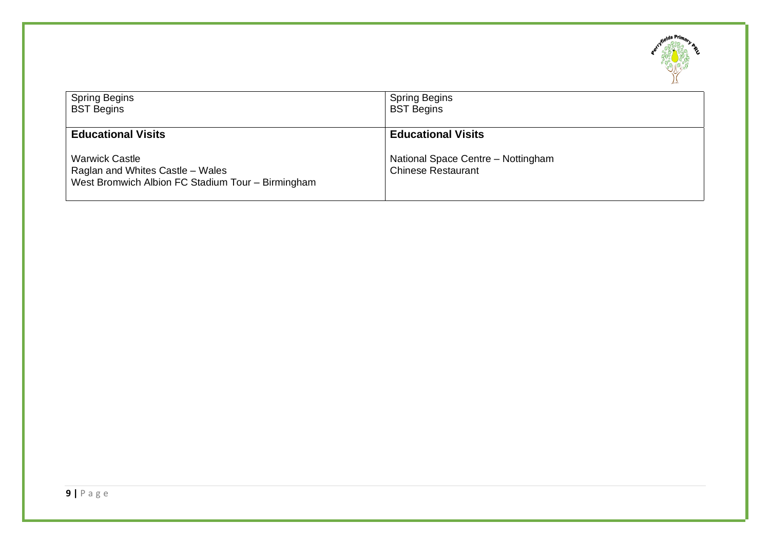

| <b>Spring Begins</b>                                                                                                                        | <b>Spring Begins</b>                                                                         |
|---------------------------------------------------------------------------------------------------------------------------------------------|----------------------------------------------------------------------------------------------|
| <b>BST Begins</b>                                                                                                                           | <b>BST Begins</b>                                                                            |
| <b>Educational Visits</b><br><b>Warwick Castle</b><br>Raglan and Whites Castle – Wales<br>West Bromwich Albion FC Stadium Tour - Birmingham | <b>Educational Visits</b><br>National Space Centre - Nottingham<br><b>Chinese Restaurant</b> |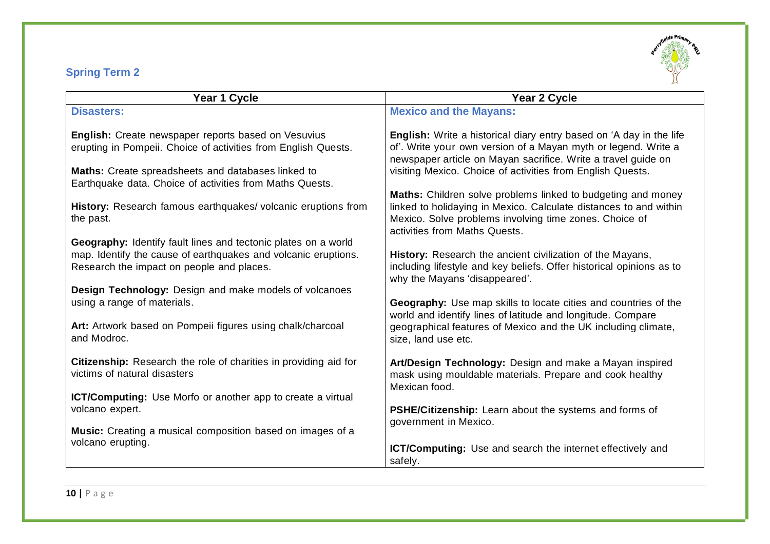# **Spring Term 2**



| Year 1 Cycle                                                                                            | Year 2 Cycle                                                                                                                                                                                                                 |
|---------------------------------------------------------------------------------------------------------|------------------------------------------------------------------------------------------------------------------------------------------------------------------------------------------------------------------------------|
| <b>Disasters:</b>                                                                                       | <b>Mexico and the Mayans:</b>                                                                                                                                                                                                |
| English: Create newspaper reports based on Vesuvius                                                     | <b>English:</b> Write a historical diary entry based on 'A day in the life                                                                                                                                                   |
| erupting in Pompeii. Choice of activities from English Quests.                                          | of'. Write your own version of a Mayan myth or legend. Write a                                                                                                                                                               |
| <b>Maths:</b> Create spreadsheets and databases linked to                                               | newspaper article on Mayan sacrifice. Write a travel guide on                                                                                                                                                                |
| Earthquake data. Choice of activities from Maths Quests.                                                | visiting Mexico. Choice of activities from English Quests.                                                                                                                                                                   |
| History: Research famous earthquakes/volcanic eruptions from<br>the past.                               | Maths: Children solve problems linked to budgeting and money<br>linked to holidaying in Mexico. Calculate distances to and within<br>Mexico. Solve problems involving time zones. Choice of<br>activities from Maths Quests. |
| Geography: Identify fault lines and tectonic plates on a world                                          | History: Research the ancient civilization of the Mayans,                                                                                                                                                                    |
| map. Identify the cause of earthquakes and volcanic eruptions.                                          | including lifestyle and key beliefs. Offer historical opinions as to                                                                                                                                                         |
| Research the impact on people and places.                                                               | why the Mayans 'disappeared'.                                                                                                                                                                                                |
| Design Technology: Design and make models of volcanoes                                                  | Geography: Use map skills to locate cities and countries of the                                                                                                                                                              |
| using a range of materials.                                                                             | world and identify lines of latitude and longitude. Compare                                                                                                                                                                  |
| Art: Artwork based on Pompeii figures using chalk/charcoal                                              | geographical features of Mexico and the UK including climate,                                                                                                                                                                |
| and Modroc.                                                                                             | size, land use etc.                                                                                                                                                                                                          |
| <b>Citizenship:</b> Research the role of charities in providing aid for<br>victims of natural disasters | Art/Design Technology: Design and make a Mayan inspired<br>mask using mouldable materials. Prepare and cook healthy<br>Mexican food.                                                                                         |
| <b>ICT/Computing:</b> Use Morfo or another app to create a virtual<br>volcano expert.                   | PSHE/Citizenship: Learn about the systems and forms of                                                                                                                                                                       |
| Music: Creating a musical composition based on images of a                                              | government in Mexico.                                                                                                                                                                                                        |
| volcano erupting.                                                                                       | <b>ICT/Computing:</b> Use and search the internet effectively and                                                                                                                                                            |
|                                                                                                         | safely.                                                                                                                                                                                                                      |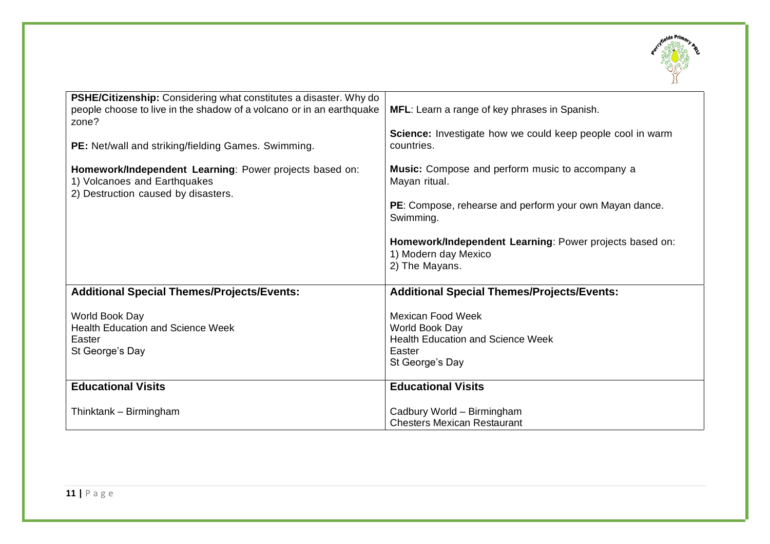

| <b>PSHE/Citizenship:</b> Considering what constitutes a disaster. Why do<br>people choose to live in the shadow of a volcano or in an earthquake<br>zone?<br>PE: Net/wall and striking/fielding Games. Swimming. | MFL: Learn a range of key phrases in Spanish.<br>Science: Investigate how we could keep people cool in warm<br>countries.                |
|------------------------------------------------------------------------------------------------------------------------------------------------------------------------------------------------------------------|------------------------------------------------------------------------------------------------------------------------------------------|
| Homework/Independent Learning: Power projects based on:<br>1) Volcanoes and Earthquakes<br>2) Destruction caused by disasters.                                                                                   | Music: Compose and perform music to accompany a<br>Mayan ritual.<br>PE: Compose, rehearse and perform your own Mayan dance.<br>Swimming. |
|                                                                                                                                                                                                                  | Homework/Independent Learning: Power projects based on:<br>1) Modern day Mexico<br>2) The Mayans.                                        |
| <b>Additional Special Themes/Projects/Events:</b>                                                                                                                                                                | <b>Additional Special Themes/Projects/Events:</b>                                                                                        |
| World Book Day<br><b>Health Education and Science Week</b><br>Easter<br>St George's Day                                                                                                                          | <b>Mexican Food Week</b><br>World Book Day<br><b>Health Education and Science Week</b><br>Easter<br>St George's Day                      |
| <b>Educational Visits</b>                                                                                                                                                                                        | <b>Educational Visits</b>                                                                                                                |
| Thinktank - Birmingham                                                                                                                                                                                           | Cadbury World - Birmingham<br><b>Chesters Mexican Restaurant</b>                                                                         |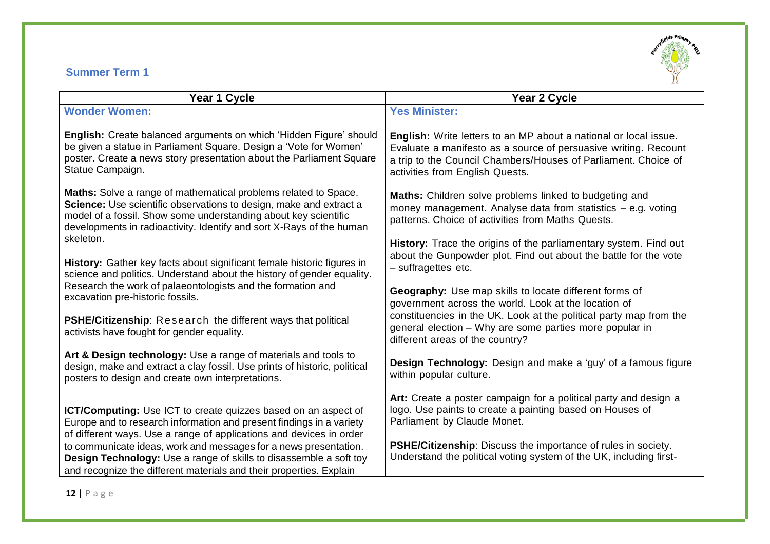### **Summer Term 1**



| Year 1 Cycle                                                                                                                                                                                                                                                                     | Year 2 Cycle                                                                                                                                                                                                                                    |
|----------------------------------------------------------------------------------------------------------------------------------------------------------------------------------------------------------------------------------------------------------------------------------|-------------------------------------------------------------------------------------------------------------------------------------------------------------------------------------------------------------------------------------------------|
| <b>Wonder Women:</b>                                                                                                                                                                                                                                                             | <b>Yes Minister:</b>                                                                                                                                                                                                                            |
| English: Create balanced arguments on which 'Hidden Figure' should<br>be given a statue in Parliament Square. Design a 'Vote for Women'<br>poster. Create a news story presentation about the Parliament Square<br>Statue Campaign.                                              | <b>English:</b> Write letters to an MP about a national or local issue.<br>Evaluate a manifesto as a source of persuasive writing. Recount<br>a trip to the Council Chambers/Houses of Parliament. Choice of<br>activities from English Quests. |
| Maths: Solve a range of mathematical problems related to Space.<br>Science: Use scientific observations to design, make and extract a<br>model of a fossil. Show some understanding about key scientific<br>developments in radioactivity. Identify and sort X-Rays of the human | Maths: Children solve problems linked to budgeting and<br>money management. Analyse data from statistics $-$ e.g. voting<br>patterns. Choice of activities from Maths Quests.                                                                   |
| skeleton.                                                                                                                                                                                                                                                                        | History: Trace the origins of the parliamentary system. Find out<br>about the Gunpowder plot. Find out about the battle for the vote                                                                                                            |
| History: Gather key facts about significant female historic figures in<br>science and politics. Understand about the history of gender equality.                                                                                                                                 | - suffragettes etc.                                                                                                                                                                                                                             |
| Research the work of palaeontologists and the formation and<br>excavation pre-historic fossils.                                                                                                                                                                                  | Geography: Use map skills to locate different forms of<br>government across the world. Look at the location of                                                                                                                                  |
| <b>PSHE/Citizenship:</b> Research the different ways that political<br>activists have fought for gender equality.                                                                                                                                                                | constituencies in the UK. Look at the political party map from the<br>general election - Why are some parties more popular in<br>different areas of the country?                                                                                |
| Art & Design technology: Use a range of materials and tools to<br>design, make and extract a clay fossil. Use prints of historic, political<br>posters to design and create own interpretations.                                                                                 | Design Technology: Design and make a 'guy' of a famous figure<br>within popular culture.                                                                                                                                                        |
| ICT/Computing: Use ICT to create quizzes based on an aspect of<br>Europe and to research information and present findings in a variety<br>of different ways. Use a range of applications and devices in order                                                                    | Art: Create a poster campaign for a political party and design a<br>logo. Use paints to create a painting based on Houses of<br>Parliament by Claude Monet.                                                                                     |
| to communicate ideas, work and messages for a news presentation.<br><b>Design Technology:</b> Use a range of skills to disassemble a soft toy<br>and recognize the different materials and their properties. Explain                                                             | <b>PSHE/Citizenship:</b> Discuss the importance of rules in society.<br>Understand the political voting system of the UK, including first-                                                                                                      |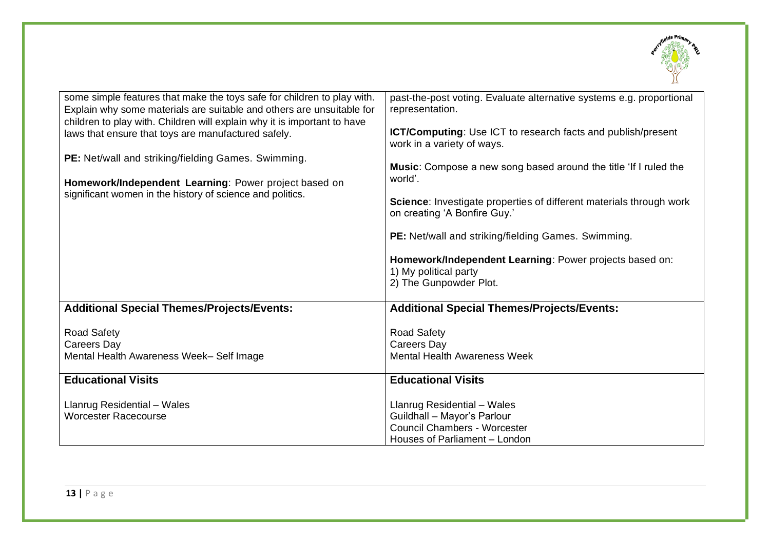

| some simple features that make the toys safe for children to play with.<br>Explain why some materials are suitable and others are unsuitable for<br>children to play with. Children will explain why it is important to have<br>laws that ensure that toys are manufactured safely.<br>PE: Net/wall and striking/fielding Games. Swimming.<br>Homework/Independent Learning: Power project based on<br>significant women in the history of science and politics. | past-the-post voting. Evaluate alternative systems e.g. proportional<br>representation.<br><b>ICT/Computing:</b> Use ICT to research facts and publish/present<br>work in a variety of ways.<br>Music: Compose a new song based around the title 'If I ruled the<br>world'.<br>Science: Investigate properties of different materials through work<br>on creating 'A Bonfire Guy.'<br>PE: Net/wall and striking/fielding Games. Swimming.<br>Homework/Independent Learning: Power projects based on:<br>1) My political party<br>2) The Gunpowder Plot. |
|------------------------------------------------------------------------------------------------------------------------------------------------------------------------------------------------------------------------------------------------------------------------------------------------------------------------------------------------------------------------------------------------------------------------------------------------------------------|---------------------------------------------------------------------------------------------------------------------------------------------------------------------------------------------------------------------------------------------------------------------------------------------------------------------------------------------------------------------------------------------------------------------------------------------------------------------------------------------------------------------------------------------------------|
| <b>Additional Special Themes/Projects/Events:</b>                                                                                                                                                                                                                                                                                                                                                                                                                | <b>Additional Special Themes/Projects/Events:</b>                                                                                                                                                                                                                                                                                                                                                                                                                                                                                                       |
| Road Safety                                                                                                                                                                                                                                                                                                                                                                                                                                                      | <b>Road Safety</b>                                                                                                                                                                                                                                                                                                                                                                                                                                                                                                                                      |
| Careers Day                                                                                                                                                                                                                                                                                                                                                                                                                                                      | Careers Day                                                                                                                                                                                                                                                                                                                                                                                                                                                                                                                                             |
| Mental Health Awareness Week- Self Image                                                                                                                                                                                                                                                                                                                                                                                                                         | <b>Mental Health Awareness Week</b>                                                                                                                                                                                                                                                                                                                                                                                                                                                                                                                     |
| <b>Educational Visits</b>                                                                                                                                                                                                                                                                                                                                                                                                                                        | <b>Educational Visits</b>                                                                                                                                                                                                                                                                                                                                                                                                                                                                                                                               |
| Llanrug Residential - Wales                                                                                                                                                                                                                                                                                                                                                                                                                                      | Llanrug Residential - Wales                                                                                                                                                                                                                                                                                                                                                                                                                                                                                                                             |
| <b>Worcester Racecourse</b>                                                                                                                                                                                                                                                                                                                                                                                                                                      | Guildhall - Mayor's Parlour                                                                                                                                                                                                                                                                                                                                                                                                                                                                                                                             |
|                                                                                                                                                                                                                                                                                                                                                                                                                                                                  | <b>Council Chambers - Worcester</b>                                                                                                                                                                                                                                                                                                                                                                                                                                                                                                                     |
|                                                                                                                                                                                                                                                                                                                                                                                                                                                                  | Houses of Parliament - London                                                                                                                                                                                                                                                                                                                                                                                                                                                                                                                           |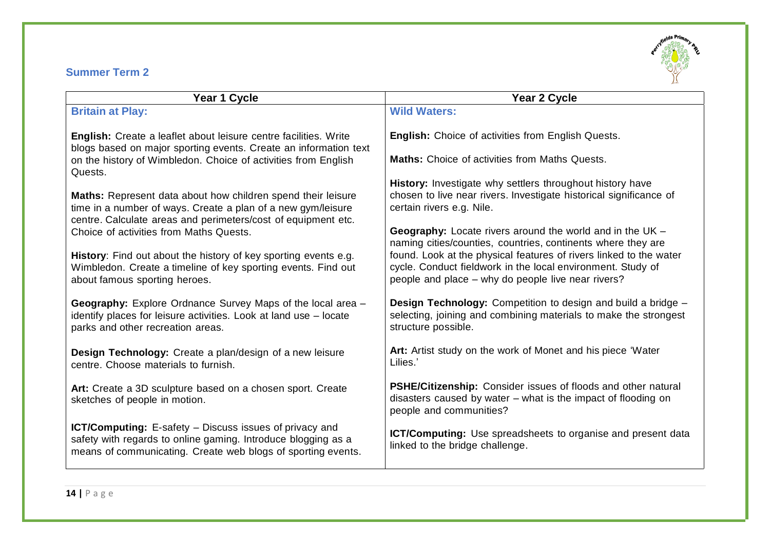### **Summer Term 2**



| Year 1 Cycle                                                                                                                                                                                    | Year 2 Cycle                                                                                                                                                                            |
|-------------------------------------------------------------------------------------------------------------------------------------------------------------------------------------------------|-----------------------------------------------------------------------------------------------------------------------------------------------------------------------------------------|
| <b>Britain at Play:</b>                                                                                                                                                                         | <b>Wild Waters:</b>                                                                                                                                                                     |
| English: Create a leaflet about leisure centre facilities. Write<br>blogs based on major sporting events. Create an information text                                                            | <b>English:</b> Choice of activities from English Quests.                                                                                                                               |
| on the history of Wimbledon. Choice of activities from English<br>Quests.                                                                                                                       | <b>Maths:</b> Choice of activities from Maths Quests.                                                                                                                                   |
|                                                                                                                                                                                                 | History: Investigate why settlers throughout history have                                                                                                                               |
| Maths: Represent data about how children spend their leisure<br>time in a number of ways. Create a plan of a new gym/leisure<br>centre. Calculate areas and perimeters/cost of equipment etc.   | chosen to live near rivers. Investigate historical significance of<br>certain rivers e.g. Nile.                                                                                         |
| Choice of activities from Maths Quests.                                                                                                                                                         | <b>Geography:</b> Locate rivers around the world and in the UK -                                                                                                                        |
|                                                                                                                                                                                                 | naming cities/counties, countries, continents where they are                                                                                                                            |
| History: Find out about the history of key sporting events e.g.<br>Wimbledon. Create a timeline of key sporting events. Find out<br>about famous sporting heroes.                               | found. Look at the physical features of rivers linked to the water<br>cycle. Conduct fieldwork in the local environment. Study of<br>people and place - why do people live near rivers? |
|                                                                                                                                                                                                 |                                                                                                                                                                                         |
| Geography: Explore Ordnance Survey Maps of the local area -<br>identify places for leisure activities. Look at land use - locate<br>parks and other recreation areas.                           | <b>Design Technology:</b> Competition to design and build a bridge –<br>selecting, joining and combining materials to make the strongest<br>structure possible.                         |
| Design Technology: Create a plan/design of a new leisure<br>centre. Choose materials to furnish.                                                                                                | Art: Artist study on the work of Monet and his piece 'Water<br>Lilies.'                                                                                                                 |
| Art: Create a 3D sculpture based on a chosen sport. Create<br>sketches of people in motion.                                                                                                     | <b>PSHE/Citizenship:</b> Consider issues of floods and other natural<br>disasters caused by water – what is the impact of flooding on                                                   |
|                                                                                                                                                                                                 | people and communities?                                                                                                                                                                 |
| <b>ICT/Computing:</b> E-safety – Discuss issues of privacy and<br>safety with regards to online gaming. Introduce blogging as a<br>means of communicating. Create web blogs of sporting events. | ICT/Computing: Use spreadsheets to organise and present data<br>linked to the bridge challenge.                                                                                         |
|                                                                                                                                                                                                 |                                                                                                                                                                                         |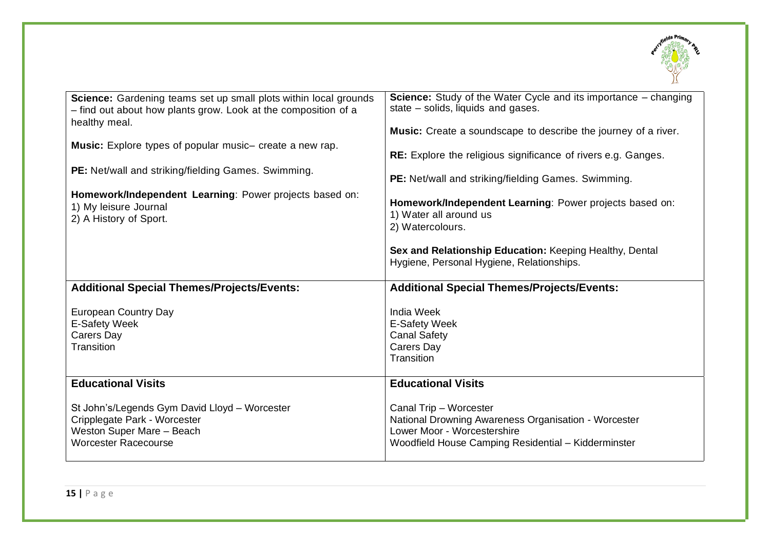

| Science: Gardening teams set up small plots within local grounds<br>- find out about how plants grow. Look at the composition of a<br>healthy meal. | <b>Science:</b> Study of the Water Cycle and its importance – changing<br>state – solids, liquids and gases.<br><b>Music:</b> Create a soundscape to describe the journey of a river. |
|-----------------------------------------------------------------------------------------------------------------------------------------------------|---------------------------------------------------------------------------------------------------------------------------------------------------------------------------------------|
| Music: Explore types of popular music- create a new rap.                                                                                            | RE: Explore the religious significance of rivers e.g. Ganges.                                                                                                                         |
| PE: Net/wall and striking/fielding Games. Swimming.                                                                                                 | PE: Net/wall and striking/fielding Games. Swimming.                                                                                                                                   |
| Homework/Independent Learning: Power projects based on:<br>1) My leisure Journal<br>2) A History of Sport.                                          | Homework/Independent Learning: Power projects based on:<br>1) Water all around us<br>2) Watercolours.                                                                                 |
|                                                                                                                                                     | Sex and Relationship Education: Keeping Healthy, Dental<br>Hygiene, Personal Hygiene, Relationships.                                                                                  |
| <b>Additional Special Themes/Projects/Events:</b>                                                                                                   | <b>Additional Special Themes/Projects/Events:</b>                                                                                                                                     |
| <b>European Country Day</b><br><b>E-Safety Week</b><br>Carers Day<br>Transition                                                                     | <b>India Week</b><br><b>E-Safety Week</b><br><b>Canal Safety</b><br>Carers Day<br>Transition                                                                                          |
| <b>Educational Visits</b>                                                                                                                           | <b>Educational Visits</b>                                                                                                                                                             |
| St John's/Legends Gym David Lloyd - Worcester<br>Cripplegate Park - Worcester                                                                       | Canal Trip - Worcester<br>National Drowning Awareness Organisation - Worcester                                                                                                        |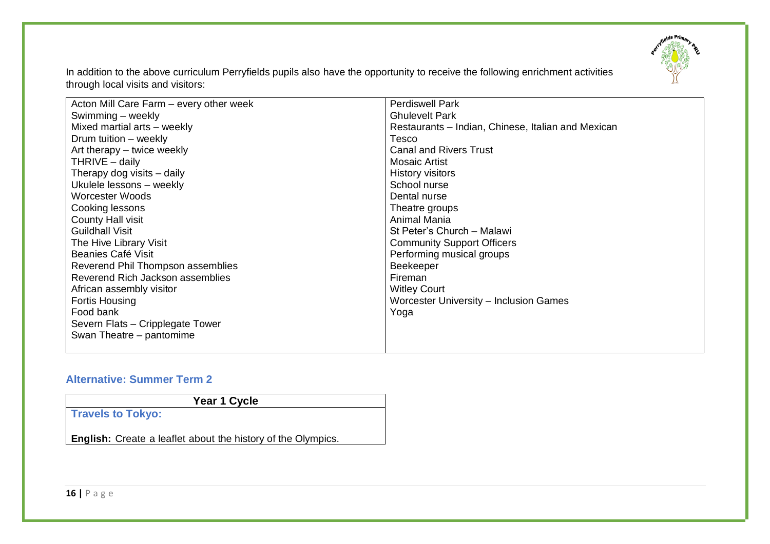

In addition to the above curriculum Perryfields pupils also have the opportunity to receive the following enrichment activities through local visits and visitors:

| Acton Mill Care Farm – every other week | <b>Perdiswell Park</b>                             |
|-----------------------------------------|----------------------------------------------------|
| Swimming - weekly                       | <b>Ghulevelt Park</b>                              |
| Mixed martial arts - weekly             | Restaurants – Indian, Chinese, Italian and Mexican |
| Drum tuition - weekly                   | Tesco                                              |
| Art therapy – twice weekly              | <b>Canal and Rivers Trust</b>                      |
| THRIVE - daily                          | <b>Mosaic Artist</b>                               |
| Therapy dog visits - daily              | History visitors                                   |
| Ukulele lessons - weekly                | School nurse                                       |
| Worcester Woods                         | Dental nurse                                       |
| Cooking lessons                         | Theatre groups                                     |
| <b>County Hall visit</b>                | Animal Mania                                       |
| <b>Guildhall Visit</b>                  | St Peter's Church - Malawi                         |
| The Hive Library Visit                  | <b>Community Support Officers</b>                  |
| Beanies Café Visit                      | Performing musical groups                          |
| Reverend Phil Thompson assemblies       | Beekeeper                                          |
| Reverend Rich Jackson assemblies        | Fireman                                            |
| African assembly visitor                | <b>Witley Court</b>                                |
| Fortis Housing                          | Worcester University - Inclusion Games             |
| Food bank                               | Yoga                                               |
| Severn Flats - Cripplegate Tower        |                                                    |
| Swan Theatre – pantomime                |                                                    |
|                                         |                                                    |

### **Alternative: Summer Term 2**

| Year 1 Cycle |  |
|--------------|--|
|              |  |
|              |  |

**English:** Create a leaflet about the history of the Olympics.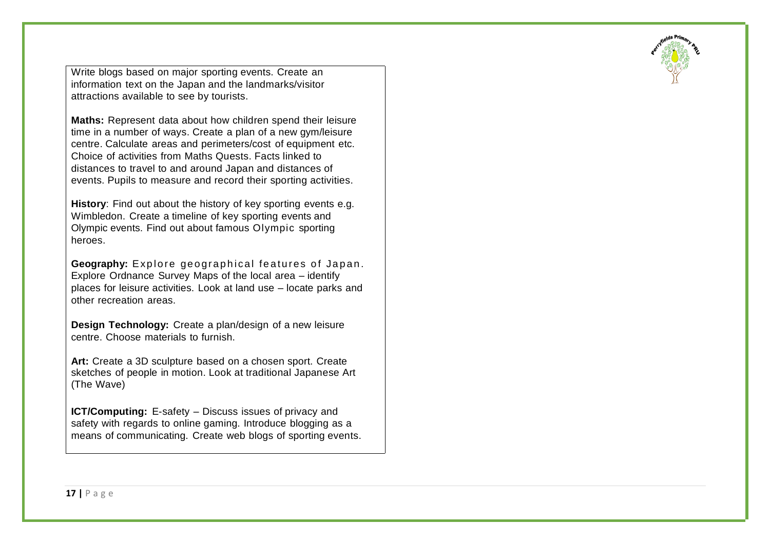Write blogs based on major sporting events. Create an information text on the Japan and the landmarks/visitor attractions available to see by tourists.

**Maths:** Represent data about how children spend their leisure time in a number of ways. Create a plan of a new gym/leisure centre. Calculate areas and perimeters/cost of equipment etc. Choice of activities from Maths Quests. Facts linked to distances to travel to and around Japan and distances of events. Pupils to measure and record their sporting activities.

**History**: Find out about the history of key sporting events e.g. Wimbledon. Create a timeline of key sporting events and Olympic events. Find out about famous Olympic sporting heroes.

**Geography:** Explore geographical features of Japan. Explore Ordnance Survey Maps of the local area – identify places for leisure activities. Look at land use – locate parks and other recreation areas.

**Design Technology:** Create a plan/design of a new leisure centre. Choose materials to furnish.

**Art:** Create a 3D sculpture based on a chosen sport. Create sketches of people in motion. Look at traditional Japanese Art (The Wave)

**ICT/Computing:** E-safety – Discuss issues of privacy and safety with regards to online gaming. Introduce blogging as a means of communicating. Create web blogs of sporting events.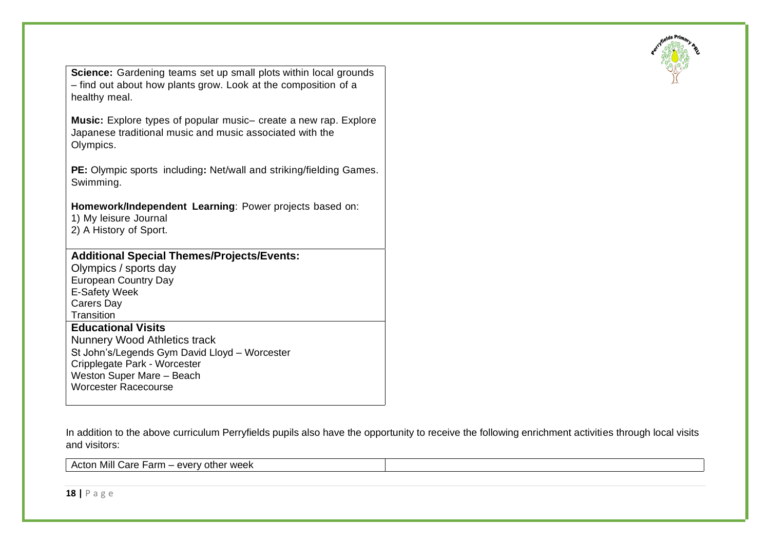

**Science:** Gardening teams set up small plots within local grounds – find out about how plants grow. Look at the composition of a healthy meal.

**Music:** Explore types of popular music– create a new rap. Explore Japanese traditional music and music associated with the Olympics.

**PE:** Olympic sports including**:** Net/wall and striking/fielding Games. Swimming.

**Homework/Independent Learning**: Power projects based on:

1) My leisure Journal

2) A History of Sport.

### **Additional Special Themes/Projects/Events:**

Olympics / sports day European Country Day E-Safety Week Carers Day **Transition** 

# **Educational Visits**

Nunnery Wood Athletics track St John's/Legends Gym David Lloyd – Worcester Cripplegate Park - Worcester Weston Super Mare – Beach Worcester Racecourse

In addition to the above curriculum Perryfields pupils also have the opportunity to receive the following enrichment activities through local visits and visitors:

Acton Mill Care Farm – every other week